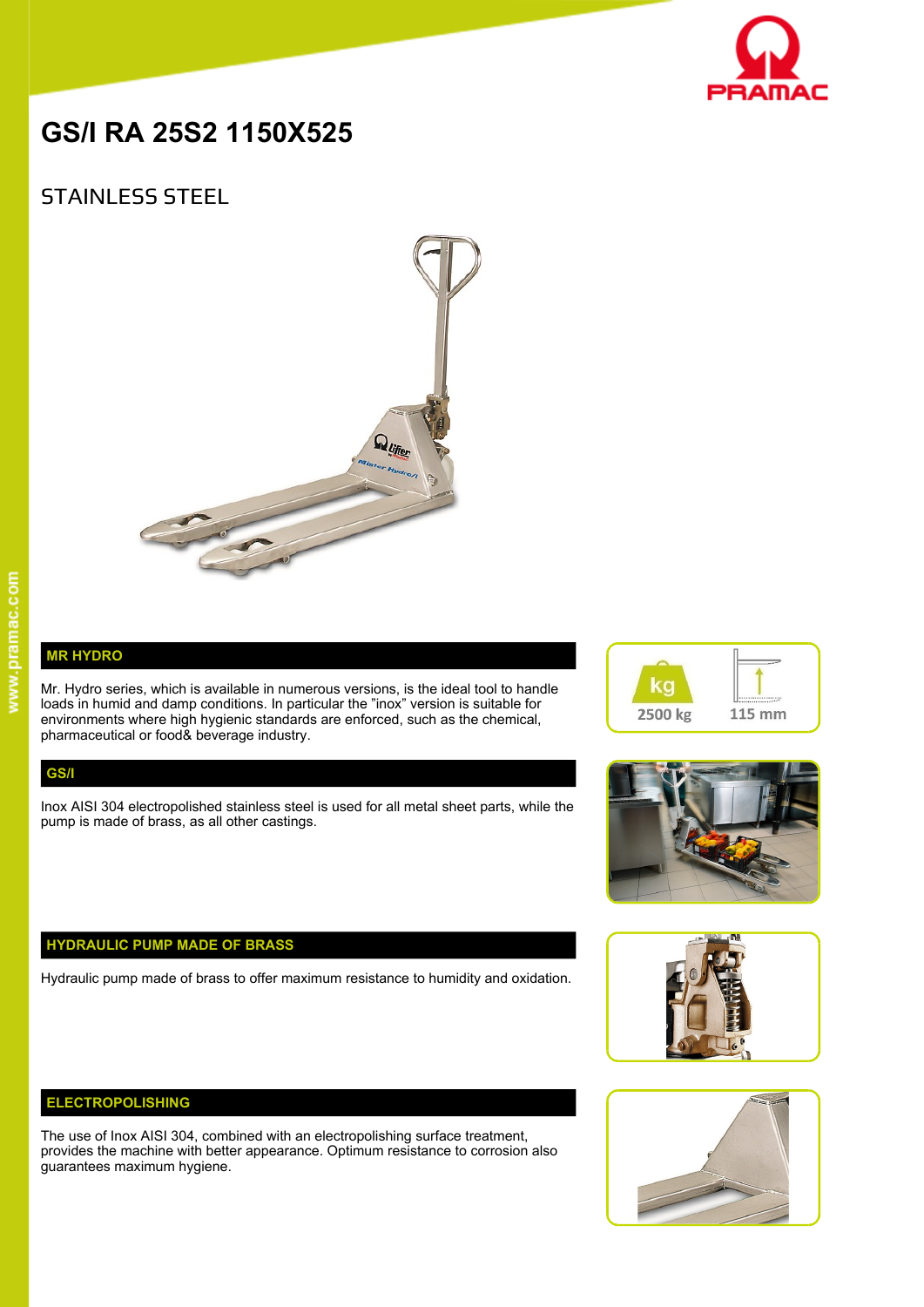

# **GS/I RA 25S2 1150X525**

# STAINLESS STEEL



# **MR HYDRO**

Mr. Hydro series, which is available in numerous versions, is the ideal tool to handle loads in humid and damp conditions. In particular the "inox" version is suitable for environments where high hygienic standards are enforced, such as the chemical, pharmaceutical or food& beverage industry.

#### **GS/I**

Inox AISI 304 electropolished stainless steel is used for all metal sheet parts, while the pump is made of brass, as all other castings.

# **HYDRAULIC PUMP MADE OF BRASS**

Hydraulic pump made of brass to offer maximum resistance to humidity and oxidation.

### **ELECTROPOLISHING**

The use of Inox AISI 304, combined with an electropolishing surface treatment, provides the machine with better appearance. Optimum resistance to corrosion also guarantees maximum hygiene.







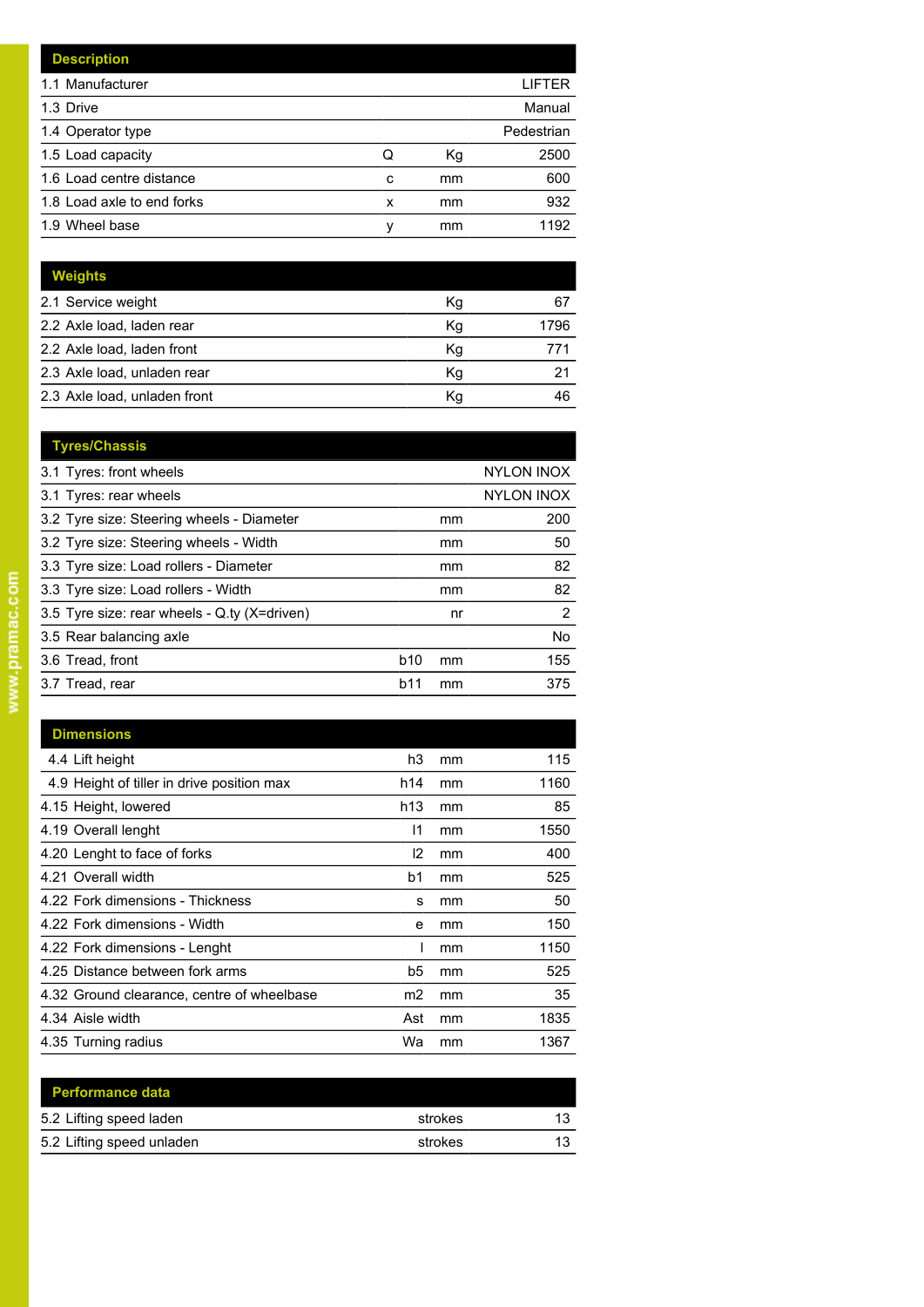|   |    | LIFTER     |
|---|----|------------|
|   |    | Manual     |
|   |    | Pedestrian |
| Q | Кg | 2500       |
| c | mm | 600        |
| x | mm | 932        |
| ν | mm | 1192       |
|   |    |            |

| <b>Weights</b>               |    |      |
|------------------------------|----|------|
| 2.1 Service weight           | Kg | 67   |
| 2.2 Axle load, laden rear    | Kg | 1796 |
| 2.2 Axle load, laden front   | Kg | 771  |
| 2.3 Axle load, unladen rear  | Κq | 21   |
| 2.3 Axle load, unladen front | Kq | 46   |

| <b>Tyres/Chassis</b>                         |     |    |                   |
|----------------------------------------------|-----|----|-------------------|
| 3.1 Tyres: front wheels                      |     |    | <b>NYLON INOX</b> |
| 3.1 Tyres: rear wheels                       |     |    | <b>NYLON INOX</b> |
| 3.2 Tyre size: Steering wheels - Diameter    |     | mm | 200               |
| 3.2 Tyre size: Steering wheels - Width       |     | mm | 50                |
| 3.3 Tyre size: Load rollers - Diameter       |     | mm | 82                |
| 3.3 Tyre size: Load rollers - Width          |     | mm | 82                |
| 3.5 Tyre size: rear wheels - Q.ty (X=driven) |     | nr | 2                 |
| 3.5 Rear balancing axle                      |     |    | No                |
| 3.6 Tread, front                             | b10 | mm | 155               |
| 3.7 Tread, rear                              | b11 | mm | 375               |
|                                              |     |    |                   |

| <b>Dimensions</b>                          |                |    |      |
|--------------------------------------------|----------------|----|------|
| 4.4 Lift height                            | h3             | mm | 115  |
| 4.9 Height of tiller in drive position max | h14            | mm | 1160 |
| 4.15 Height, lowered                       | h13            | mm | 85   |
| 4.19 Overall lenght                        | 11             | mm | 1550 |
| 4.20 Lenght to face of forks               | 12             | mm | 400  |
| 4.21 Overall width                         | b <sub>1</sub> | mm | 525  |
| 4.22 Fork dimensions - Thickness           | s              | mm | 50   |
| 4.22 Fork dimensions - Width               | e              | mm | 150  |
| 4.22 Fork dimensions - Lenght              |                | mm | 1150 |
| 4.25 Distance between fork arms            | b5             | mm | 525  |
| 4.32 Ground clearance, centre of wheelbase | m <sub>2</sub> | mm | 35   |
| 4.34 Aisle width                           | Ast            | mm | 1835 |
| 4.35 Turning radius                        | Wa             | mm | 1367 |

| strokes | 13 |
|---------|----|
| strokes | 13 |
|         |    |